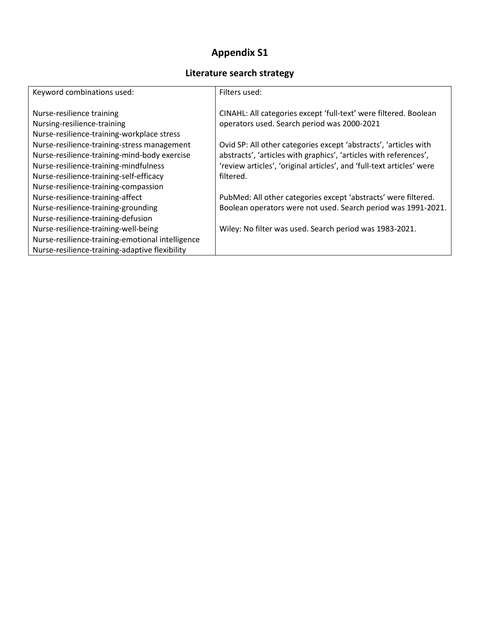## **Appendix S1**

## **Literature search strategy**

| Keyword combinations used:                       | Filters used:                                                         |
|--------------------------------------------------|-----------------------------------------------------------------------|
|                                                  |                                                                       |
| Nurse-resilience training                        | CINAHL: All categories except 'full-text' were filtered. Boolean      |
| Nursing-resilience-training                      | operators used. Search period was 2000-2021                           |
| Nurse-resilience-training-workplace stress       |                                                                       |
| Nurse-resilience-training-stress management      | Ovid SP: All other categories except 'abstracts', 'articles with      |
| Nurse-resilience-training-mind-body exercise     | abstracts', 'articles with graphics', 'articles with references',     |
| Nurse-resilience-training-mindfulness            | 'review articles', 'original articles', and 'full-text articles' were |
| Nurse-resilience-training-self-efficacy          | filtered.                                                             |
| Nurse-resilience-training-compassion             |                                                                       |
| Nurse-resilience-training-affect                 | PubMed: All other categories except 'abstracts' were filtered.        |
| Nurse-resilience-training-grounding              | Boolean operators were not used. Search period was 1991-2021.         |
| Nurse-resilience-training-defusion               |                                                                       |
| Nurse-resilience-training-well-being             | Wiley: No filter was used. Search period was 1983-2021.               |
| Nurse-resilience-training-emotional intelligence |                                                                       |
| Nurse-resilience-training-adaptive flexibility   |                                                                       |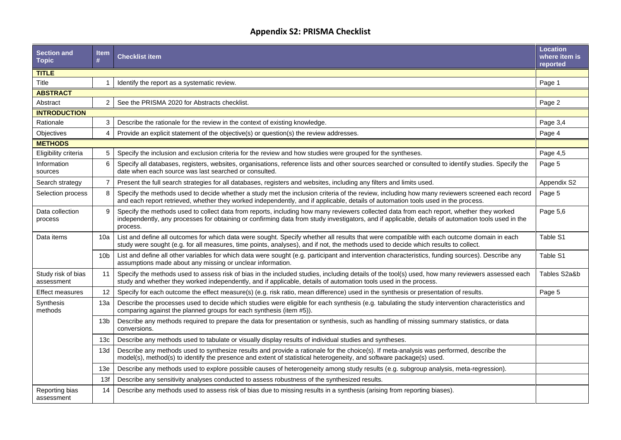## **Appendix S2: PRISMA Checklist**

| <b>Section and</b><br><b>Topic</b> | <b>Item</b><br>#  | <b>Checklist item</b>                                                                                                                                                                                                                                                                                      | <b>Location</b><br>where item is<br>reported |
|------------------------------------|-------------------|------------------------------------------------------------------------------------------------------------------------------------------------------------------------------------------------------------------------------------------------------------------------------------------------------------|----------------------------------------------|
| <b>TITLE</b>                       |                   |                                                                                                                                                                                                                                                                                                            |                                              |
| Title                              | 1                 | Identify the report as a systematic review.                                                                                                                                                                                                                                                                | Page 1                                       |
| <b>ABSTRACT</b>                    |                   |                                                                                                                                                                                                                                                                                                            |                                              |
| Abstract                           | $\overline{2}$    | See the PRISMA 2020 for Abstracts checklist.                                                                                                                                                                                                                                                               | Page 2                                       |
| <b>INTRODUCTION</b>                |                   |                                                                                                                                                                                                                                                                                                            |                                              |
| Rationale                          | 3                 | Describe the rationale for the review in the context of existing knowledge.                                                                                                                                                                                                                                | Page 3,4                                     |
| Objectives                         | 4                 | Provide an explicit statement of the objective(s) or question(s) the review addresses.                                                                                                                                                                                                                     | Page 4                                       |
| <b>METHODS</b>                     |                   |                                                                                                                                                                                                                                                                                                            |                                              |
| Eligibility criteria               | 5                 | Specify the inclusion and exclusion criteria for the review and how studies were grouped for the syntheses.                                                                                                                                                                                                | Page 4,5                                     |
| Information<br>sources             | 6                 | Specify all databases, registers, websites, organisations, reference lists and other sources searched or consulted to identify studies. Specify the<br>date when each source was last searched or consulted.                                                                                               | Page 5                                       |
| Search strategy                    | $\overline{7}$    | Present the full search strategies for all databases, registers and websites, including any filters and limits used.                                                                                                                                                                                       | Appendix S2                                  |
| Selection process                  | 8                 | Specify the methods used to decide whether a study met the inclusion criteria of the review, including how many reviewers screened each record<br>and each report retrieved, whether they worked independently, and if applicable, details of automation tools used in the process.                        | Page 5                                       |
| Data collection<br>process         | 9                 | Specify the methods used to collect data from reports, including how many reviewers collected data from each report, whether they worked<br>independently, any processes for obtaining or confirming data from study investigators, and if applicable, details of automation tools used in the<br>process. | Page 5,6                                     |
| Data items                         | 10a               | List and define all outcomes for which data were sought. Specify whether all results that were compatible with each outcome domain in each<br>study were sought (e.g. for all measures, time points, analyses), and if not, the methods used to decide which results to collect.                           | Table S1                                     |
|                                    | 10 <sub>b</sub>   | List and define all other variables for which data were sought (e.g. participant and intervention characteristics, funding sources). Describe any<br>assumptions made about any missing or unclear information.                                                                                            | Table S1                                     |
| Study risk of bias<br>assessment   | 11                | Specify the methods used to assess risk of bias in the included studies, including details of the tool(s) used, how many reviewers assessed each<br>study and whether they worked independently, and if applicable, details of automation tools used in the process.                                       | Tables S2a&b                                 |
| <b>Effect measures</b>             | $12 \overline{ }$ | Specify for each outcome the effect measure(s) (e.g. risk ratio, mean difference) used in the synthesis or presentation of results.                                                                                                                                                                        | Page 5                                       |
| Synthesis<br>methods               | 13а               | Describe the processes used to decide which studies were eligible for each synthesis (e.g. tabulating the study intervention characteristics and<br>comparing against the planned groups for each synthesis (item #5)).                                                                                    |                                              |
|                                    | 13 <sub>b</sub>   | Describe any methods required to prepare the data for presentation or synthesis, such as handling of missing summary statistics, or data<br>conversions.                                                                                                                                                   |                                              |
|                                    | 13 <sub>c</sub>   | Describe any methods used to tabulate or visually display results of individual studies and syntheses.                                                                                                                                                                                                     |                                              |
|                                    | 13d               | Describe any methods used to synthesize results and provide a rationale for the choice(s). If meta-analysis was performed, describe the<br>model(s), method(s) to identify the presence and extent of statistical heterogeneity, and software package(s) used.                                             |                                              |
|                                    | 13e               | Describe any methods used to explore possible causes of heterogeneity among study results (e.g. subgroup analysis, meta-regression).                                                                                                                                                                       |                                              |
|                                    | 13f               | Describe any sensitivity analyses conducted to assess robustness of the synthesized results.                                                                                                                                                                                                               |                                              |
| Reporting bias<br>assessment       | 14                | Describe any methods used to assess risk of bias due to missing results in a synthesis (arising from reporting biases).                                                                                                                                                                                    |                                              |